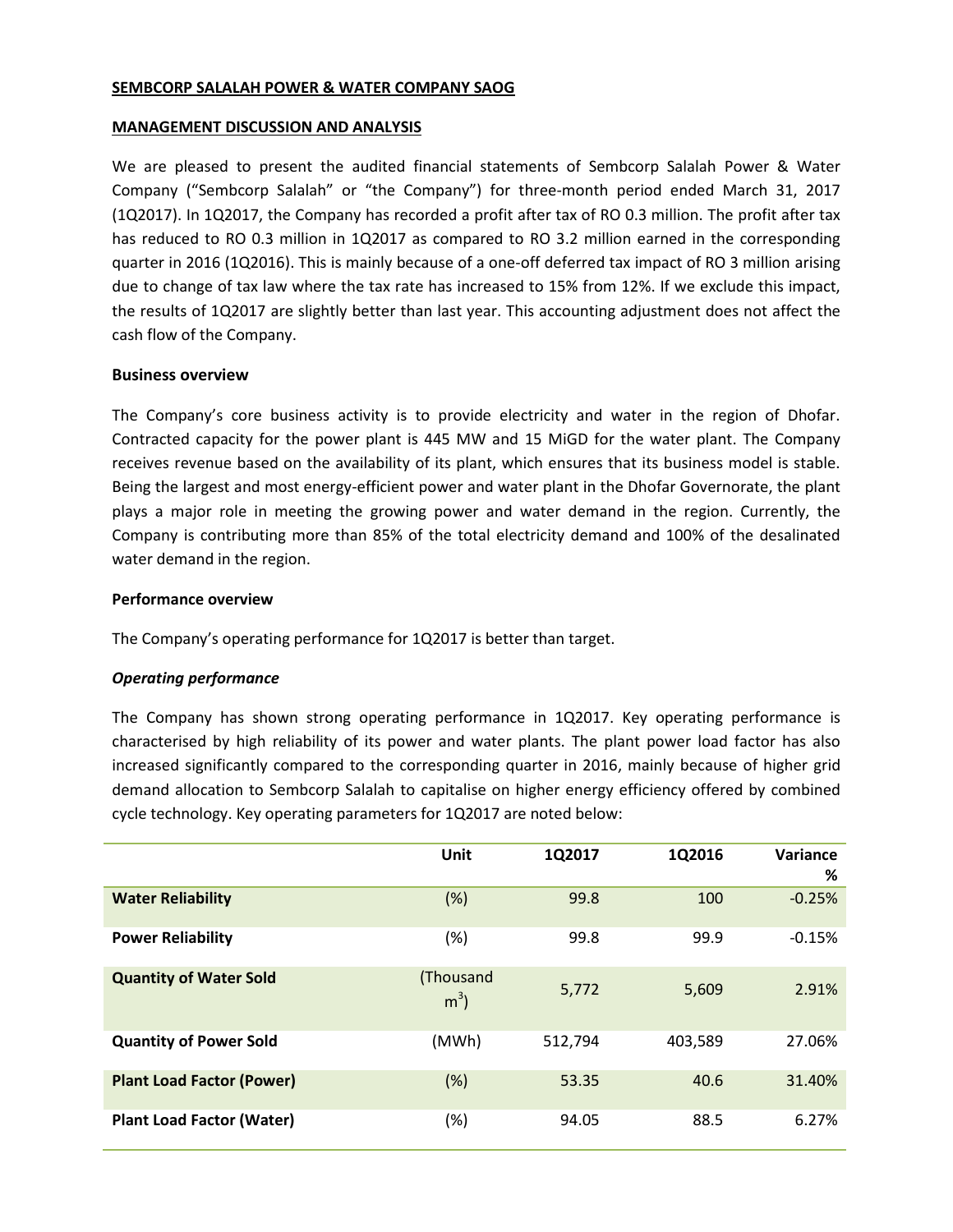## **SEMBCORP SALALAH POWER & WATER COMPANY SAOG**

#### **MANAGEMENT DISCUSSION AND ANALYSIS**

We are pleased to present the audited financial statements of Sembcorp Salalah Power & Water Company ("Sembcorp Salalah" or "the Company") for three-month period ended March 31, 2017 (1Q2017). In 1Q2017, the Company has recorded a profit after tax of RO 0.3 million. The profit after tax has reduced to RO 0.3 million in 1Q2017 as compared to RO 3.2 million earned in the corresponding quarter in 2016 (1Q2016). This is mainly because of a one-off deferred tax impact of RO 3 million arising due to change of tax law where the tax rate has increased to 15% from 12%. If we exclude this impact, the results of 1Q2017 are slightly better than last year. This accounting adjustment does not affect the cash flow of the Company.

## **Business overview**

The Company's core business activity is to provide electricity and water in the region of Dhofar. Contracted capacity for the power plant is 445 MW and 15 MiGD for the water plant. The Company receives revenue based on the availability of its plant, which ensures that its business model is stable. Being the largest and most energy-efficient power and water plant in the Dhofar Governorate, the plant plays a major role in meeting the growing power and water demand in the region. Currently, the Company is contributing more than 85% of the total electricity demand and 100% of the desalinated water demand in the region.

## **Performance overview**

The Company's operating performance for 1Q2017 is better than target.

## *Operating performance*

The Company has shown strong operating performance in 1Q2017. Key operating performance is characterised by high reliability of its power and water plants. The plant power load factor has also increased significantly compared to the corresponding quarter in 2016, mainly because of higher grid demand allocation to Sembcorp Salalah to capitalise on higher energy efficiency offered by combined cycle technology. Key operating parameters for 1Q2017 are noted below:

|                                  | Unit                        | 1Q2017  | 1Q2016  | Variance<br>% |
|----------------------------------|-----------------------------|---------|---------|---------------|
| <b>Water Reliability</b>         | (%)                         | 99.8    | 100     | $-0.25%$      |
| <b>Power Reliability</b>         | (%)                         | 99.8    | 99.9    | $-0.15%$      |
| <b>Quantity of Water Sold</b>    | (Thousand<br>m <sup>3</sup> | 5,772   | 5,609   | 2.91%         |
| <b>Quantity of Power Sold</b>    | (MWh)                       | 512,794 | 403,589 | 27.06%        |
| <b>Plant Load Factor (Power)</b> | (%)                         | 53.35   | 40.6    | 31.40%        |
| <b>Plant Load Factor (Water)</b> | (%)                         | 94.05   | 88.5    | 6.27%         |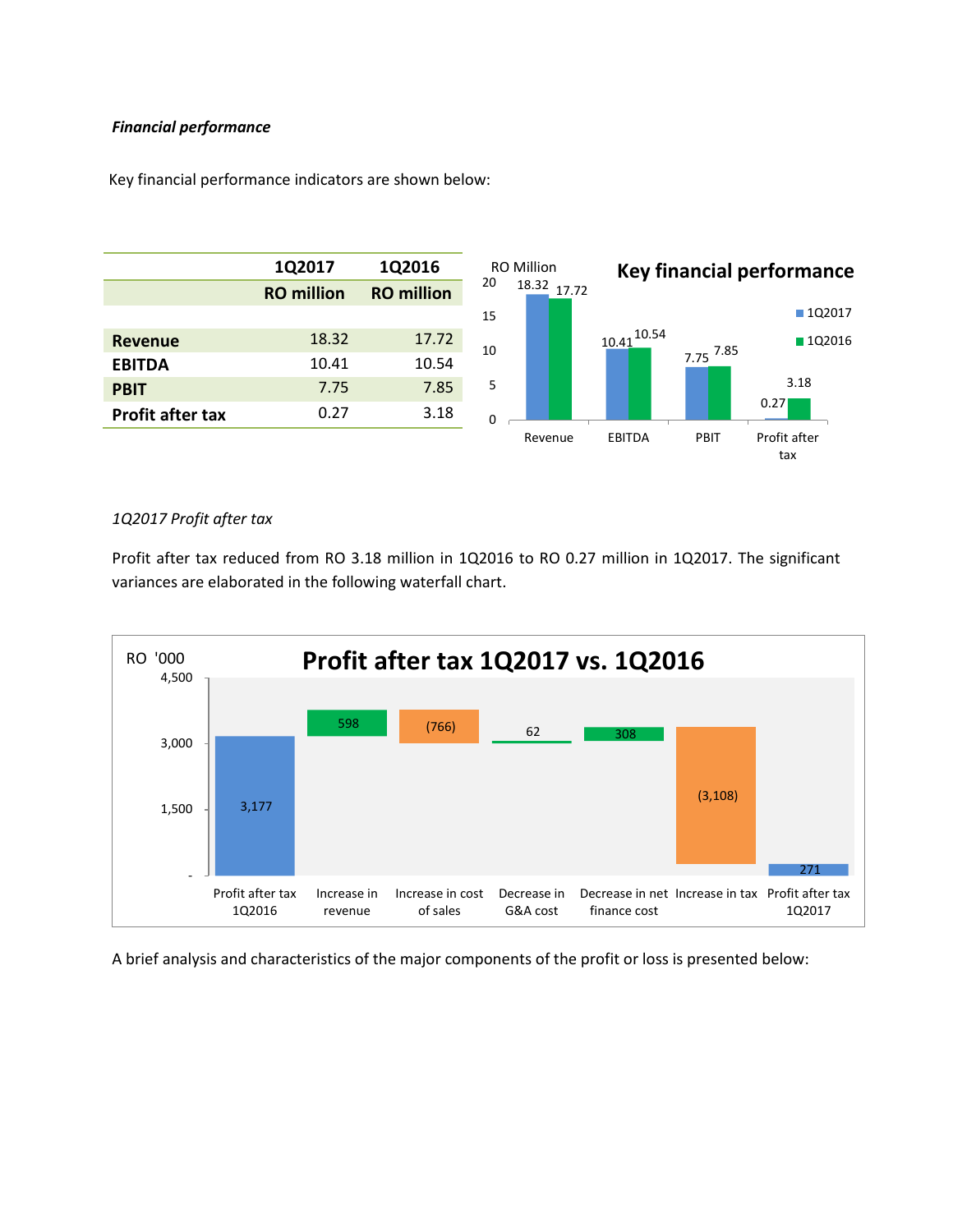## *Financial performance*



Key financial performance indicators are shown below:

# *1Q2017 Profit after tax*

Profit after tax reduced from RO 3.18 million in 1Q2016 to RO 0.27 million in 1Q2017. The significant variances are elaborated in the following waterfall chart.



A brief analysis and characteristics of the major components of the profit or loss is presented below: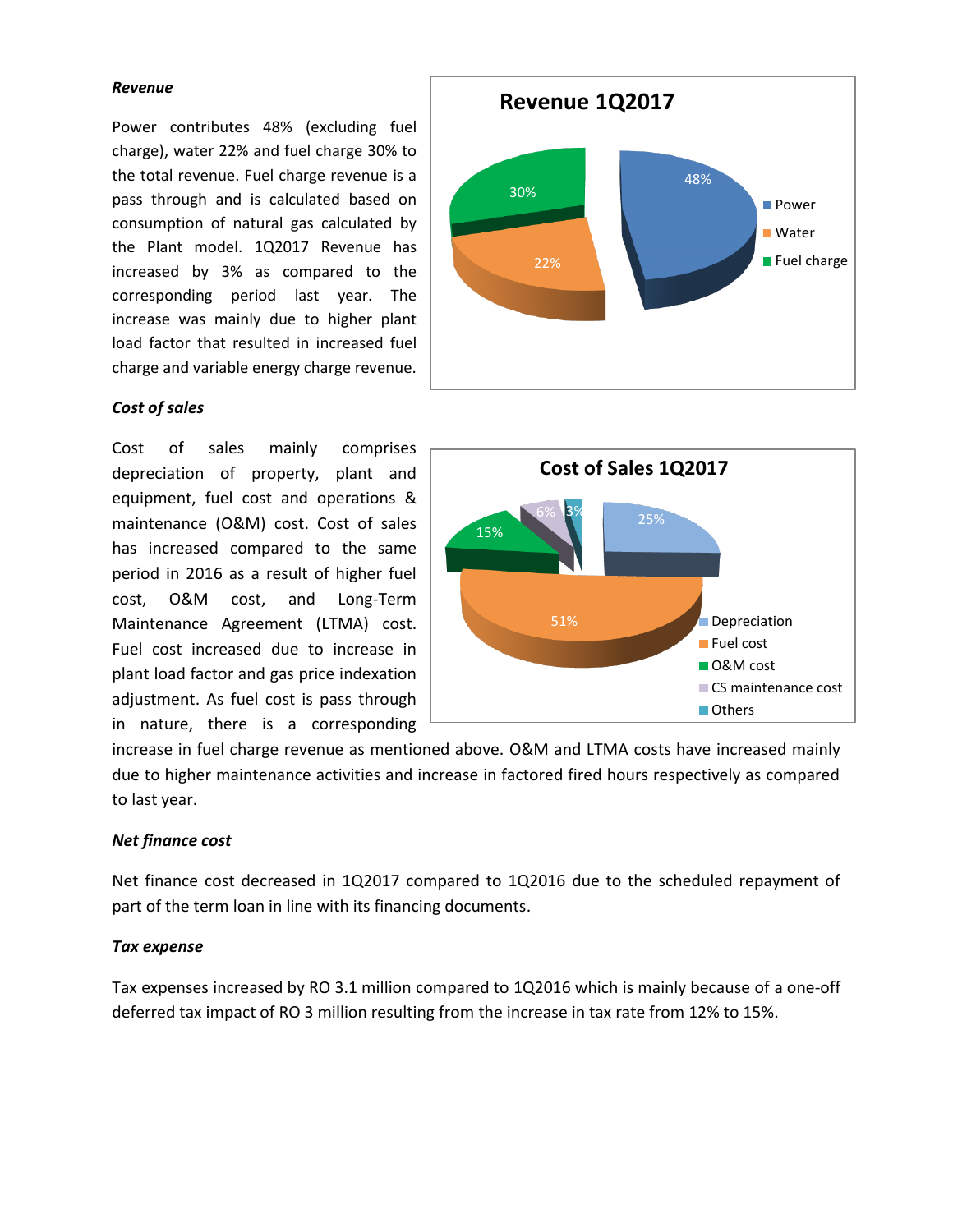#### *Revenue*

Power contributes 48% (excluding fuel charge), water 22% and fuel charge 30% to the total revenue. Fuel charge revenue is a pass through and is calculated based on consumption of natural gas calculated by the Plant model. 1Q2017 Revenue has increased by 3% as compared to the corresponding period last year. The increase was mainly due to higher plant load factor that resulted in increased fuel charge and variable energy charge revenue.

## *Cost of sales*

Cost of sales mainly comprises depreciation of property, plant and equipment, fuel cost and operations & maintenance (O&M) cost. Cost of sales has increased compared to the same period in 2016 as a result of higher fuel cost, O&M cost, and Long-Term Maintenance Agreement (LTMA) cost. Fuel cost increased due to increase in plant load factor and gas price indexation adjustment. As fuel cost is pass through in nature, there is a corresponding





increase in fuel charge revenue as mentioned above. O&M and LTMA costs have increased mainly due to higher maintenance activities and increase in factored fired hours respectively as compared to last year.

## *Net finance cost*

Net finance cost decreased in 1Q2017 compared to 1Q2016 due to the scheduled repayment of part of the term loan in line with its financing documents.

## *Tax expense*

Tax expenses increased by RO 3.1 million compared to 1Q2016 which is mainly because of a one-off deferred tax impact of RO 3 million resulting from the increase in tax rate from 12% to 15%.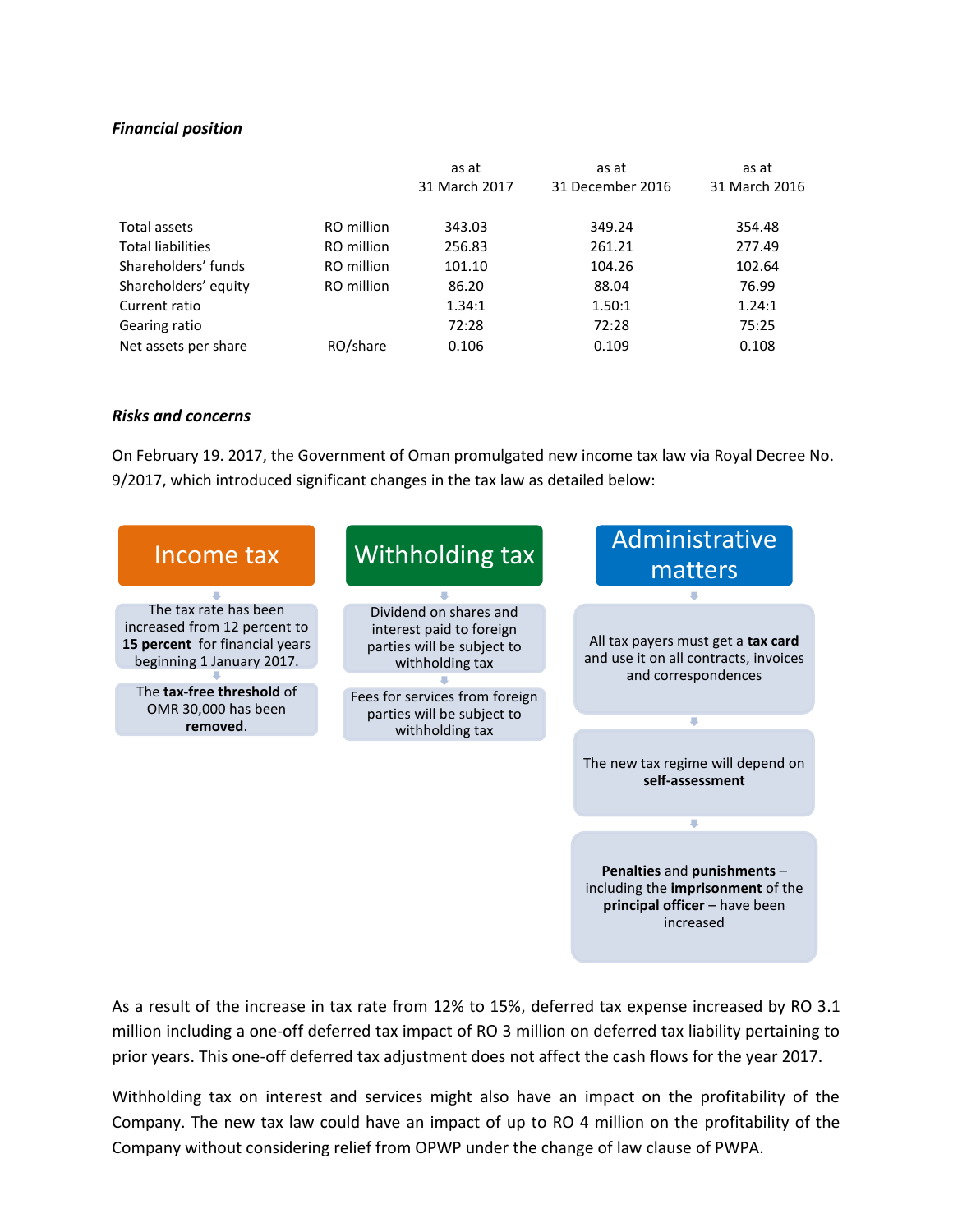## *Financial position*

|                          |            | as at         | as at            | as at         |
|--------------------------|------------|---------------|------------------|---------------|
|                          |            | 31 March 2017 | 31 December 2016 | 31 March 2016 |
| Total assets             | RO million | 343.03        | 349.24           | 354.48        |
| <b>Total liabilities</b> | RO million | 256.83        | 261.21           | 277.49        |
| Shareholders' funds      | RO million | 101.10        | 104.26           | 102.64        |
| Shareholders' equity     | RO million | 86.20         | 88.04            | 76.99         |
| Current ratio            |            | 1.34:1        | 1.50:1           | 1.24:1        |
| Gearing ratio            |            | 72:28         | 72:28            | 75:25         |
| Net assets per share     | RO/share   | 0.106         | 0.109            | 0.108         |

## *Risks and concerns*

On February 19. 2017, the Government of Oman promulgated new income tax law via Royal Decree No. 9/2017, which introduced significant changes in the tax law as detailed below:



As a result of the increase in tax rate from 12% to 15%, deferred tax expense increased by RO 3.1 million including a one-off deferred tax impact of RO 3 million on deferred tax liability pertaining to prior years. This one-off deferred tax adjustment does not affect the cash flows for the year 2017.

Withholding tax on interest and services might also have an impact on the profitability of the Company. The new tax law could have an impact of up to RO 4 million on the profitability of the Company without considering relief from OPWP under the change of law clause of PWPA.